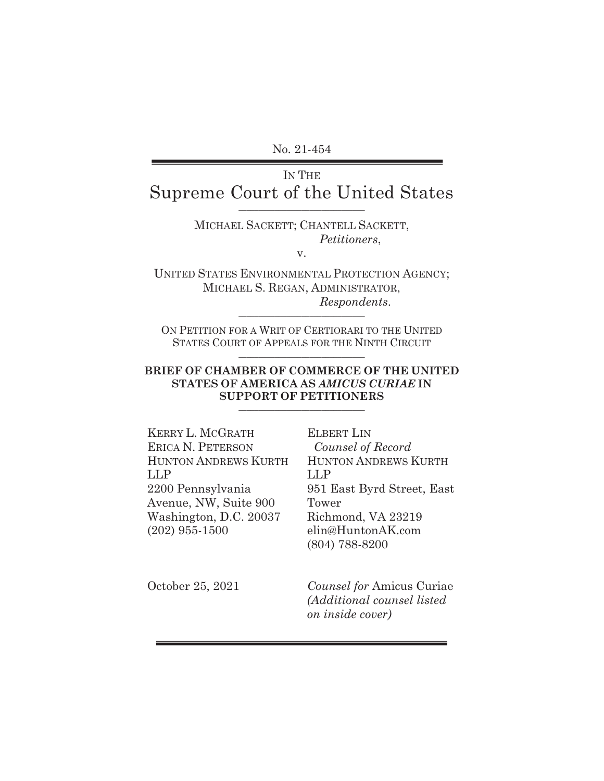No. 21-454

# IN THE Supreme Court of the United States

## MICHAEL SACKETT; CHANTELL SACKETT, *Petitioners*,

v.

UNITED STATES ENVIRONMENTAL PROTECTION AGENCY; MICHAEL S. REGAN, ADMINISTRATOR,  $Response$ 

ON PETITION FOR A WRIT OF CERTIORARI TO THE UNITED STATES COURT OF APPEALS FOR THE NINTH CIRCUIT \_\_\_\_\_\_\_\_\_\_\_\_\_\_\_\_\_\_\_\_\_\_\_\_\_\_\_\_\_\_\_\_

#### **BRIEF OF CHAMBER OF COMMERCE OF THE UNITED STATES OF AMERICA AS** *AMICUS CURIAE* **IN SUPPORT OF PETITIONERS**

\_\_\_\_\_\_\_\_\_\_\_\_\_\_\_\_\_\_\_\_\_\_\_\_\_\_\_\_\_\_\_\_

| KERRY L. MCGRATH            |  |
|-----------------------------|--|
| <b>ERICA N. PETERSON</b>    |  |
| <b>HUNTON ANDREWS KURTH</b> |  |
| LLP                         |  |
| 2200 Pennsylvania           |  |
| Avenue, NW, Suite 900       |  |
| Washington, D.C. 20037      |  |
| $(202)$ 955-1500            |  |
|                             |  |

ELBERT LIN *Counsel of Record*  HUNTON ANDREWS KURTH LLP 951 East Byrd Street, East Tower Richmond, VA 23219 elin@HuntonAK.com (804) 788-8200

October 25, 2021

*Counsel for* Amicus Curiae *(Additional counsel listed on inside cover)*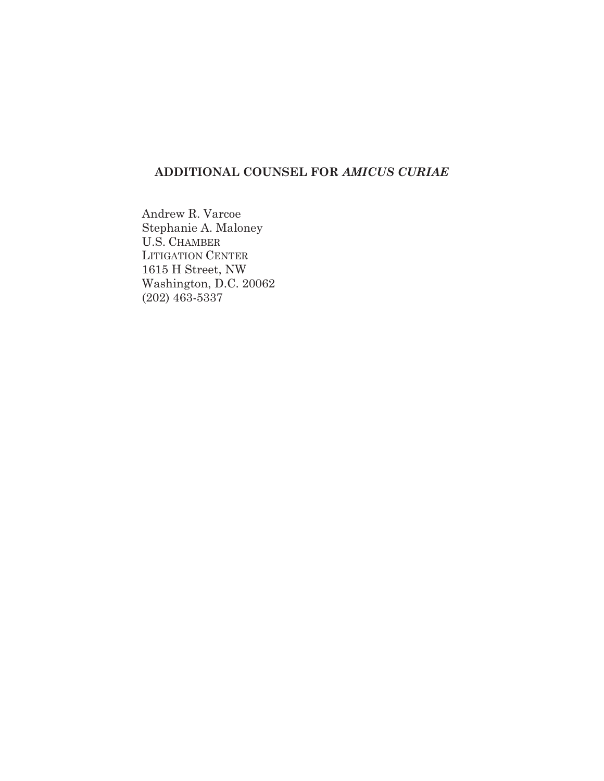# **ADDITIONAL COUNSEL FOR** *AMICUS CURIAE*

Andrew R. Varcoe Stephanie A. Maloney U.S. CHAMBER LITIGATION CENTER 1615 H Street, NW Washington, D.C. 20062 (202) 463-5337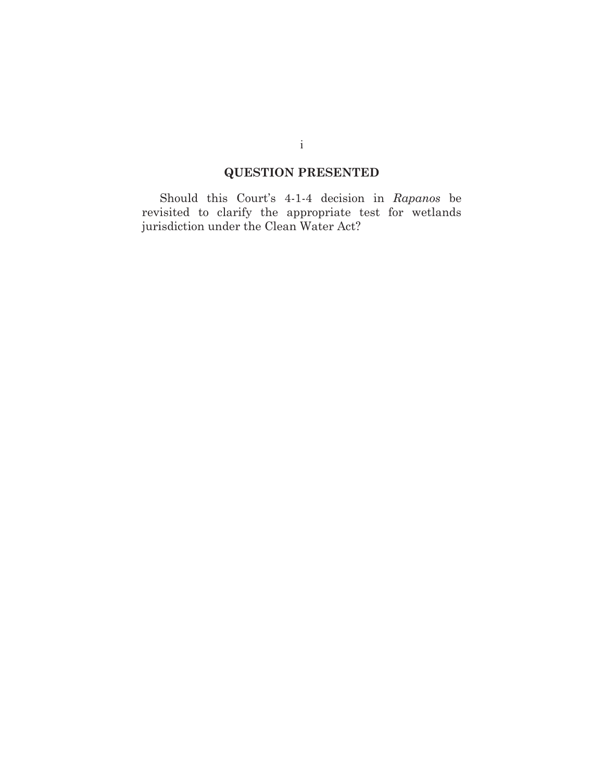# **QUESTION PRESENTED**

 Should this Court's 4-1-4 decision in *Rapanos* be revisited to clarify the appropriate test for wetlands jurisdiction under the Clean Water Act?

i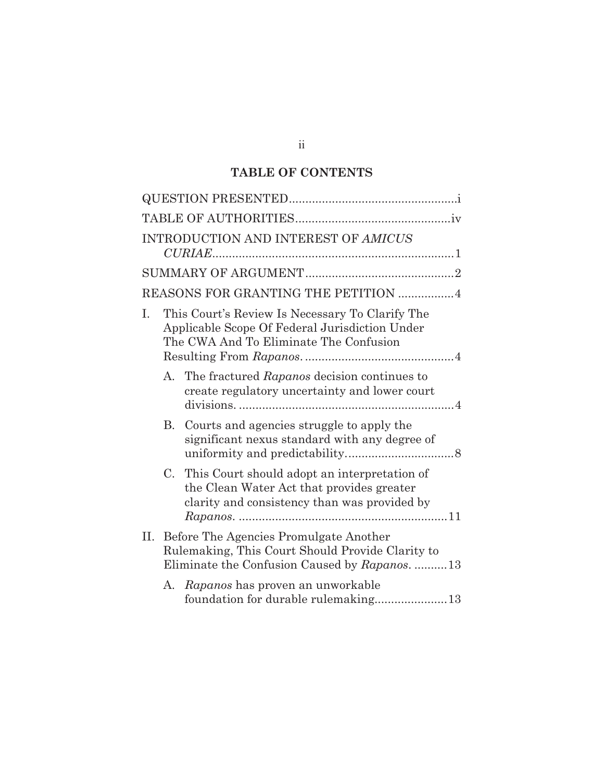# **TABLE OF CONTENTS**

|   |             | INTRODUCTION AND INTEREST OF AMICUS                                                                                                             |
|---|-------------|-------------------------------------------------------------------------------------------------------------------------------------------------|
|   |             |                                                                                                                                                 |
|   |             | REASONS FOR GRANTING THE PETITION 4                                                                                                             |
| L |             | This Court's Review Is Necessary To Clarify The<br>Applicable Scope Of Federal Jurisdiction Under<br>The CWA And To Eliminate The Confusion     |
|   | A.          | The fractured Rapanos decision continues to<br>create regulatory uncertainty and lower court                                                    |
|   |             | B. Courts and agencies struggle to apply the<br>significant nexus standard with any degree of                                                   |
|   | $C_{\cdot}$ | This Court should adopt an interpretation of<br>the Clean Water Act that provides greater<br>clarity and consistency than was provided by       |
|   |             | II. Before The Agencies Promulgate Another<br>Rulemaking, This Court Should Provide Clarity to<br>Eliminate the Confusion Caused by Rapanos. 13 |
|   | А.          | Rapanos has proven an unworkable<br>foundation for durable rulemaking13                                                                         |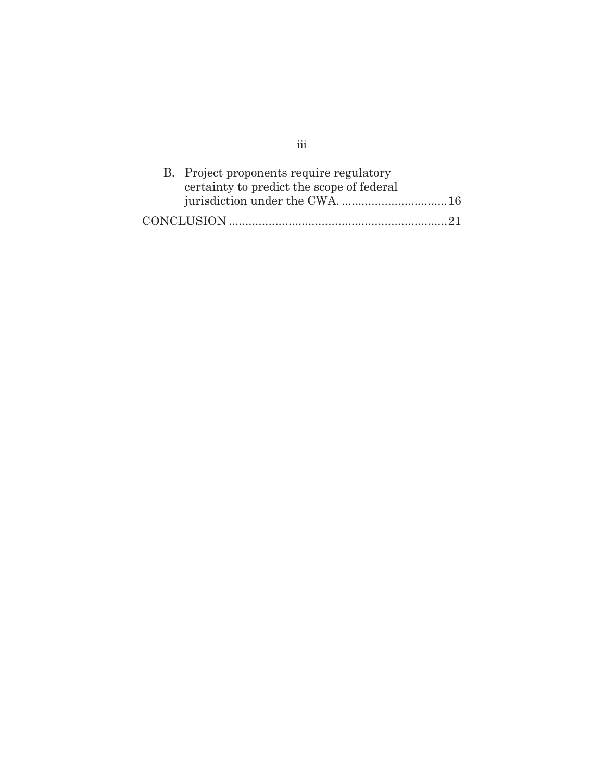| B. Project proponents require regulatory<br>certainty to predict the scope of federal |  |
|---------------------------------------------------------------------------------------|--|
|                                                                                       |  |
|                                                                                       |  |

iii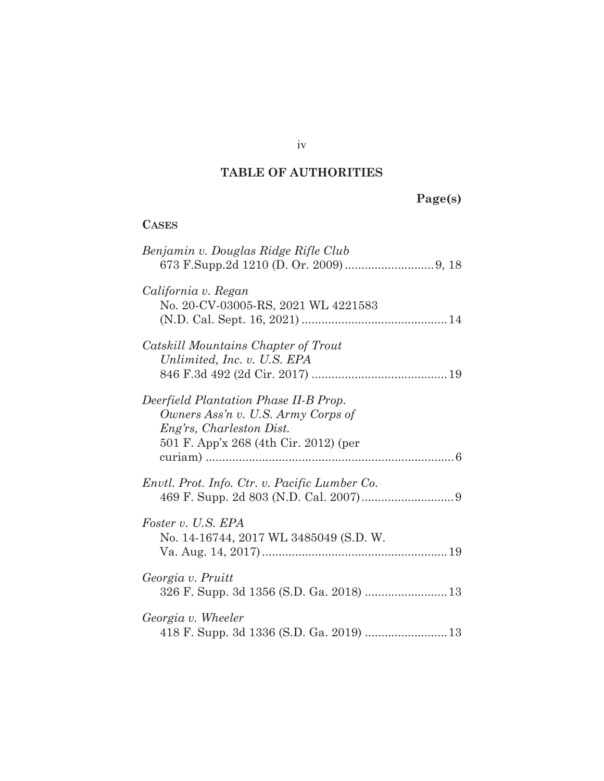# **TABLE OF AUTHORITIES**

# **Page(s)**

# **CASES**

| Benjamin v. Douglas Ridge Rifle Club                                                                                                             |  |
|--------------------------------------------------------------------------------------------------------------------------------------------------|--|
| California v. Regan<br>No. 20-CV-03005-RS, 2021 WL 4221583                                                                                       |  |
| Catskill Mountains Chapter of Trout<br>Unlimited, Inc. v. U.S. EPA                                                                               |  |
| Deerfield Plantation Phase II-B Prop.<br>Owners Ass'n v. U.S. Army Corps of<br>Eng'rs, Charleston Dist.<br>501 F. App'x 268 (4th Cir. 2012) (per |  |
| Envtl. Prot. Info. Ctr. v. Pacific Lumber Co.                                                                                                    |  |
| Foster v. U.S. EPA<br>No. 14-16744, 2017 WL 3485049 (S.D. W.                                                                                     |  |
| Georgia v. Pruitt<br>326 F. Supp. 3d 1356 (S.D. Ga. 2018)  13                                                                                    |  |
| Georgia v. Wheeler<br>418 F. Supp. 3d 1336 (S.D. Ga. 2019)  13                                                                                   |  |

iv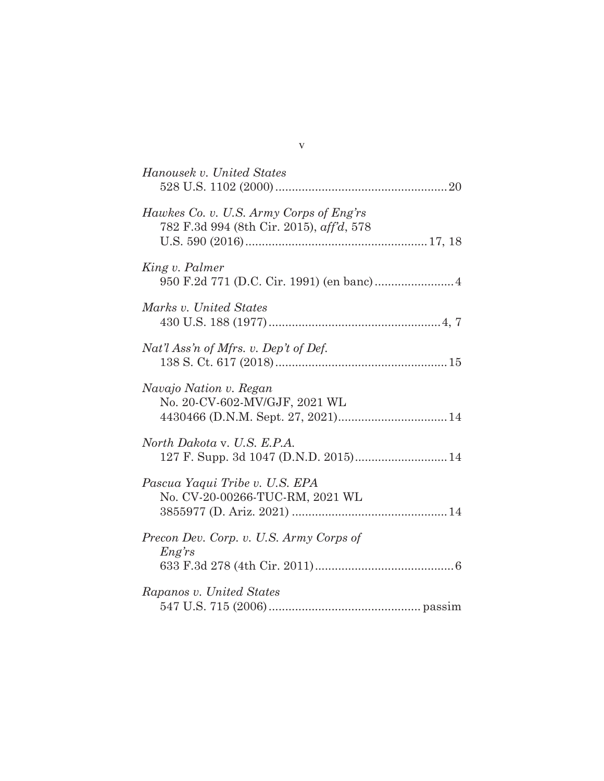| Hanousek v. United States                                                           |
|-------------------------------------------------------------------------------------|
| Hawkes Co. v. U.S. Army Corps of Eng'rs<br>782 F.3d 994 (8th Cir. 2015), aff'd, 578 |
| King v. Palmer                                                                      |
| Marks v. United States                                                              |
| Nat'l Ass'n of Mfrs. v. Dep't of Def.                                               |
| Navajo Nation v. Regan<br>No. 20-CV-602-MV/GJF, 2021 WL                             |
| North Dakota v. U.S. E.P.A.                                                         |
| Pascua Yaqui Tribe v. U.S. EPA<br>No. CV-20-00266-TUC-RM, 2021 WL                   |
| Precon Dev. Corp. v. U.S. Army Corps of<br><i>Eng'rs</i>                            |
| Rapanos v. United States                                                            |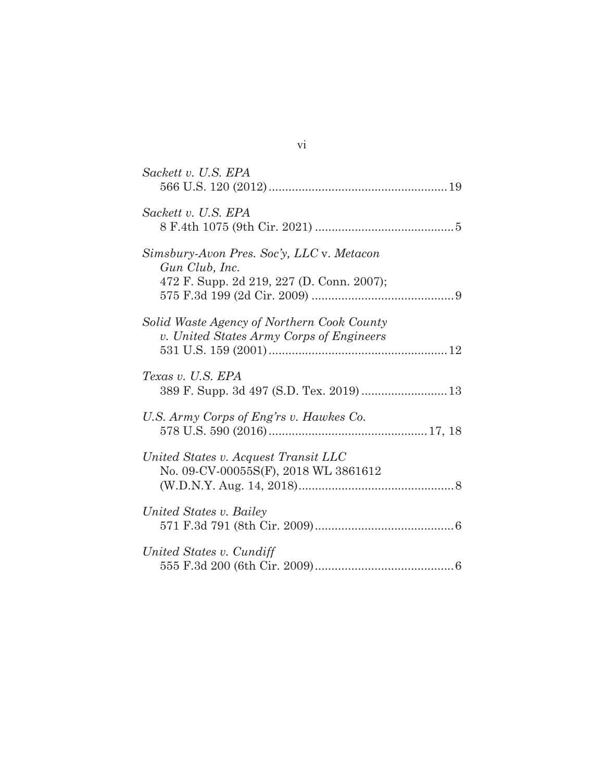| Sackett v. U.S. EPA                                                                                      |
|----------------------------------------------------------------------------------------------------------|
| Sackett v. U.S. EPA                                                                                      |
| Simsbury-Avon Pres. Soc'y, LLC v. Metacon<br>Gun Club, Inc.<br>472 F. Supp. 2d 219, 227 (D. Conn. 2007); |
| Solid Waste Agency of Northern Cook County<br>v. United States Army Corps of Engineers                   |
| Texas v. U.S. EPA<br>389 F. Supp. 3d 497 (S.D. Tex. 2019)  13                                            |
| U.S. Army Corps of Eng'rs v. Hawkes Co.                                                                  |
| United States v. Acquest Transit LLC<br>No. 09-CV-00055S(F), 2018 WL 3861612                             |
| United States v. Bailey                                                                                  |
| United States v. Cundiff                                                                                 |
|                                                                                                          |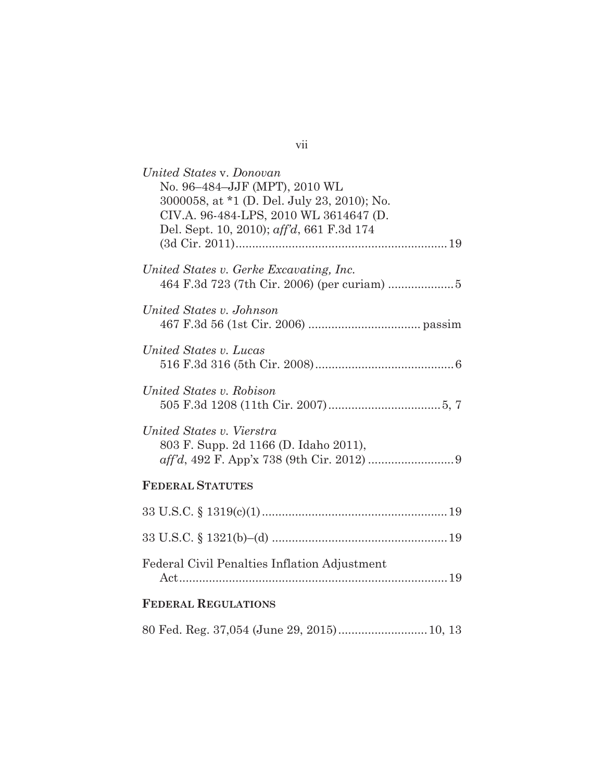| United States v. Donovan<br>No. 96-484-JJF (MPT), 2010 WL |
|-----------------------------------------------------------|
| 3000058, at *1 (D. Del. July 23, 2010); No.               |
| CIV.A. 96-484-LPS, 2010 WL 3614647 (D.                    |
| Del. Sept. 10, 2010); aff'd, 661 F.3d 174                 |
|                                                           |
| United States v. Gerke Excavating, Inc.                   |
|                                                           |
| United States v. Johnson                                  |
|                                                           |
| United States v. Lucas                                    |
|                                                           |
| United States v. Robison                                  |
|                                                           |
| United States v. Vierstra                                 |
| 803 F. Supp. 2d 1166 (D. Idaho 2011),                     |
|                                                           |
| <b>FEDERAL STATUTES</b>                                   |
|                                                           |
|                                                           |
| Federal Civil Penalties Inflation Adjustment              |
|                                                           |
| <b>FEDERAL REGULATIONS</b>                                |
| 80 Fed. Reg. 37,054 (June 29, 2015) 10, 13                |
|                                                           |

| ×<br>۰. | $\sim$ |  |
|---------|--------|--|
|         |        |  |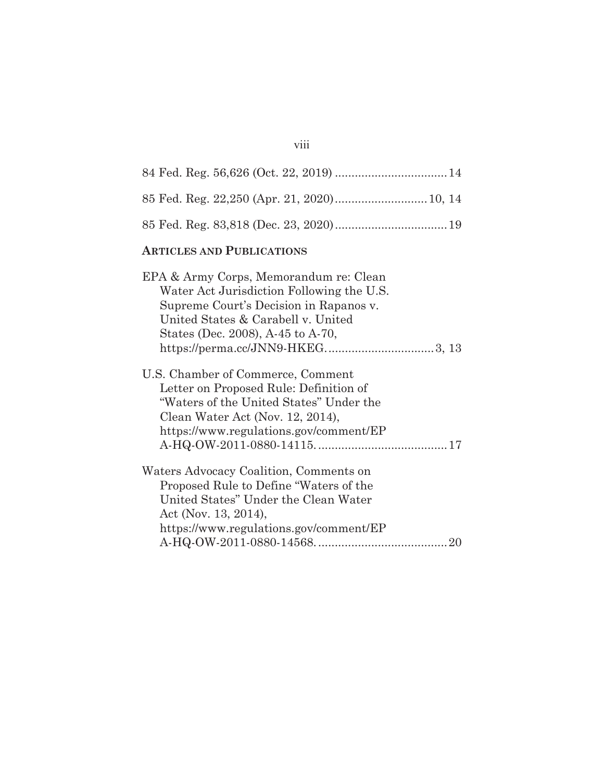## viii

| 85 Fed. Reg. 22,250 (Apr. 21, 2020) 10, 14                                                                                                                                                               |
|----------------------------------------------------------------------------------------------------------------------------------------------------------------------------------------------------------|
|                                                                                                                                                                                                          |
| <b>ARTICLES AND PUBLICATIONS</b>                                                                                                                                                                         |
| EPA & Army Corps, Memorandum re: Clean<br>Water Act Jurisdiction Following the U.S.<br>Supreme Court's Decision in Rapanos v.<br>United States & Carabell v. United<br>States (Dec. 2008), A-45 to A-70, |
| U.S. Chamber of Commerce, Comment<br>Letter on Proposed Rule: Definition of<br>"Waters of the United States" Under the<br>Clean Water Act (Nov. 12, 2014),<br>https://www.regulations.gov/comment/EP     |
| Waters Advocacy Coalition, Comments on<br>Proposed Rule to Define "Waters of the<br>United States" Under the Clean Water<br>Act (Nov. 13, 2014),<br>https://www.regulations.gov/comment/EP               |
|                                                                                                                                                                                                          |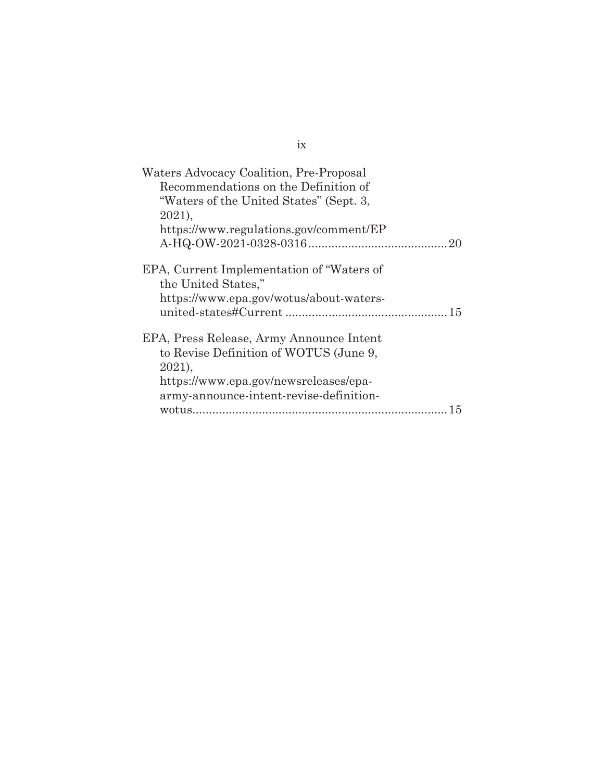| Waters Advocacy Coalition, Pre-Proposal   |
|-------------------------------------------|
| Recommendations on the Definition of      |
| "Waters of the United States" (Sept. 3,   |
| 2021,                                     |
| https://www.regulations.gov/comment/EP    |
|                                           |
| EPA, Current Implementation of "Waters of |
| the United States,"                       |
| https://www.epa.gov/wotus/about-waters-   |
|                                           |
| EPA, Press Release, Army Announce Intent  |
| to Revise Definition of WOTUS (June 9,    |
| $2021$ ,                                  |
| https://www.epa.gov/newsreleases/epa-     |
| army-announce-intent-revise-definition-   |
| 15                                        |

ix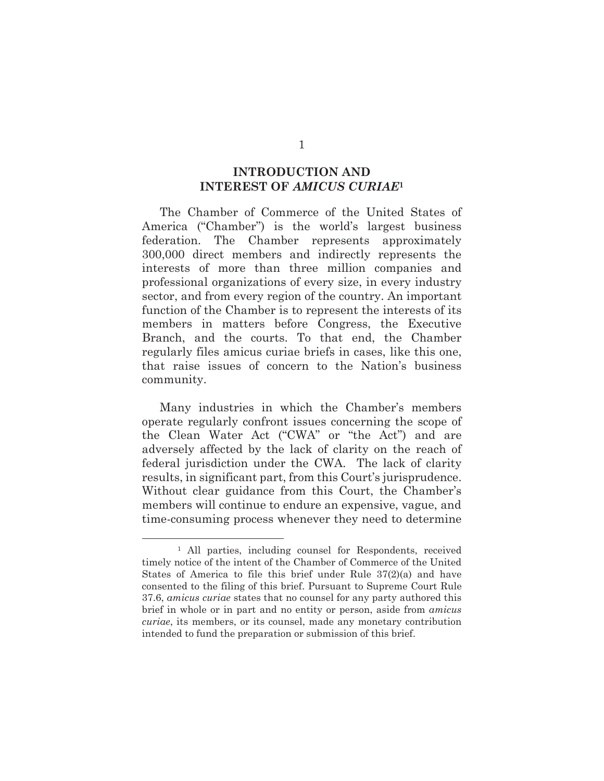#### **INTRODUCTION AND INTEREST OF** *AMICUS CURIAE***<sup>1</sup>**

 The Chamber of Commerce of the United States of America ("Chamber") is the world's largest business federation. The Chamber represents approximately 300,000 direct members and indirectly represents the interests of more than three million companies and professional organizations of every size, in every industry sector, and from every region of the country. An important function of the Chamber is to represent the interests of its members in matters before Congress, the Executive Branch, and the courts. To that end, the Chamber regularly files amicus curiae briefs in cases, like this one, that raise issues of concern to the Nation's business community.

 Many industries in which the Chamber's members operate regularly confront issues concerning the scope of the Clean Water Act ("CWA" or "the Act") and are adversely affected by the lack of clarity on the reach of federal jurisdiction under the CWA. The lack of clarity results, in significant part, from this Court's jurisprudence. Without clear guidance from this Court, the Chamber's members will continue to endure an expensive, vague, and time-consuming process whenever they need to determine

 $\overline{a}$ 

<sup>1</sup> All parties, including counsel for Respondents, received timely notice of the intent of the Chamber of Commerce of the United States of America to file this brief under Rule 37(2)(a) and have consented to the filing of this brief. Pursuant to Supreme Court Rule 37.6, *amicus curiae* states that no counsel for any party authored this brief in whole or in part and no entity or person, aside from *amicus curiae*, its members, or its counsel, made any monetary contribution intended to fund the preparation or submission of this brief.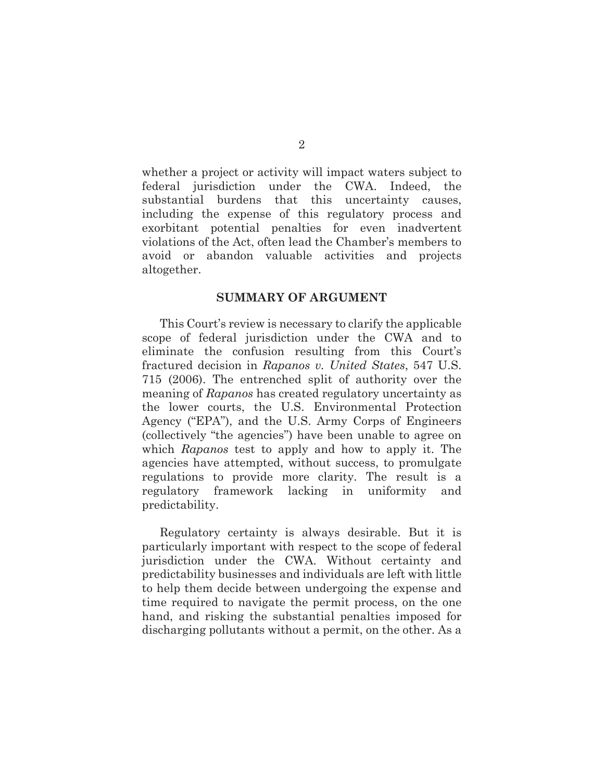whether a project or activity will impact waters subject to federal jurisdiction under the CWA. Indeed, the substantial burdens that this uncertainty causes, including the expense of this regulatory process and exorbitant potential penalties for even inadvertent violations of the Act, often lead the Chamber's members to avoid or abandon valuable activities and projects altogether.

#### **SUMMARY OF ARGUMENT**

 This Court's review is necessary to clarify the applicable scope of federal jurisdiction under the CWA and to eliminate the confusion resulting from this Court's fractured decision in *Rapanos v. United States*, 547 U.S. 715 (2006). The entrenched split of authority over the meaning of *Rapanos* has created regulatory uncertainty as the lower courts, the U.S. Environmental Protection Agency ("EPA"), and the U.S. Army Corps of Engineers (collectively "the agencies") have been unable to agree on which *Rapanos* test to apply and how to apply it. The agencies have attempted, without success, to promulgate regulations to provide more clarity. The result is a regulatory framework lacking in uniformity and predictability.

 Regulatory certainty is always desirable. But it is particularly important with respect to the scope of federal jurisdiction under the CWA. Without certainty and predictability businesses and individuals are left with little to help them decide between undergoing the expense and time required to navigate the permit process, on the one hand, and risking the substantial penalties imposed for discharging pollutants without a permit, on the other. As a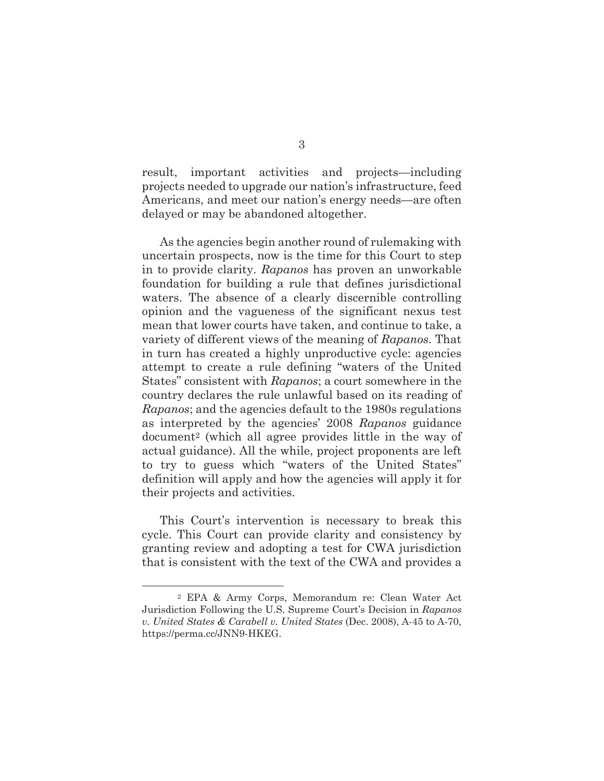result, important activities and projects—including projects needed to upgrade our nation's infrastructure, feed Americans, and meet our nation's energy needs—are often delayed or may be abandoned altogether.

 As the agencies begin another round of rulemaking with uncertain prospects, now is the time for this Court to step in to provide clarity. *Rapanos* has proven an unworkable foundation for building a rule that defines jurisdictional waters. The absence of a clearly discernible controlling opinion and the vagueness of the significant nexus test mean that lower courts have taken, and continue to take, a variety of different views of the meaning of *Rapanos*. That in turn has created a highly unproductive cycle: agencies attempt to create a rule defining "waters of the United States" consistent with *Rapanos*; a court somewhere in the country declares the rule unlawful based on its reading of *Rapanos*; and the agencies default to the 1980s regulations as interpreted by the agencies' 2008 *Rapanos* guidance document2 (which all agree provides little in the way of actual guidance). All the while, project proponents are left to try to guess which "waters of the United States" definition will apply and how the agencies will apply it for their projects and activities.

 This Court's intervention is necessary to break this cycle. This Court can provide clarity and consistency by granting review and adopting a test for CWA jurisdiction that is consistent with the text of the CWA and provides a

 $\overline{a}$ 

<sup>2</sup> EPA & Army Corps, Memorandum re: Clean Water Act Jurisdiction Following the U.S. Supreme Court's Decision in *Rapanos v. United States & Carabell v. United States* (Dec. 2008), A-45 to A-70, https://perma.cc/JNN9-HKEG.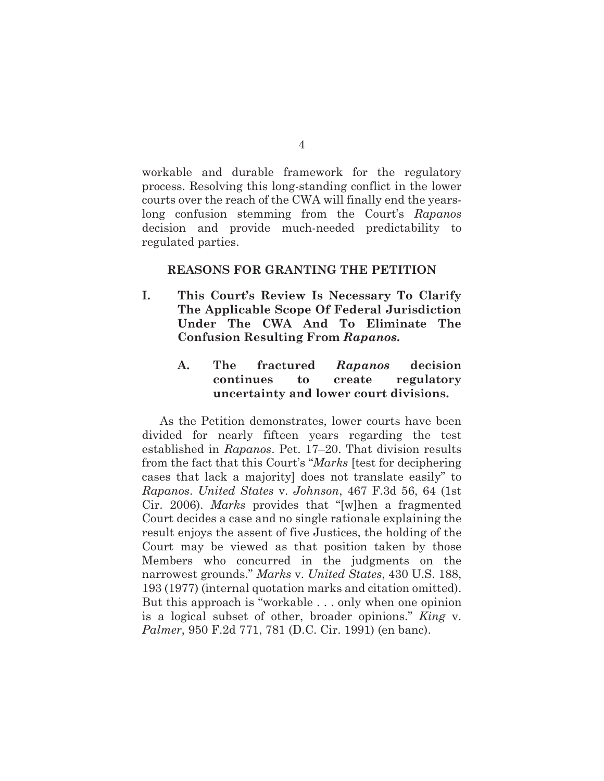workable and durable framework for the regulatory process. Resolving this long-standing conflict in the lower courts over the reach of the CWA will finally end the yearslong confusion stemming from the Court's *Rapanos*  decision and provide much-needed predictability to regulated parties.

#### **REASONS FOR GRANTING THE PETITION**

- **I. This Court's Review Is Necessary To Clarify The Applicable Scope Of Federal Jurisdiction Under The CWA And To Eliminate The Confusion Resulting From** *Rapanos***.** 
	- **A. The fractured** *Rapanos* **decision continues to create regulatory uncertainty and lower court divisions.**

As the Petition demonstrates, lower courts have been divided for nearly fifteen years regarding the test established in *Rapanos*. Pet. 17–20. That division results from the fact that this Court's "*Marks* [test for deciphering cases that lack a majority] does not translate easily" to *Rapanos*. *United States* v. *Johnson*, 467 F.3d 56, 64 (1st Cir. 2006). *Marks* provides that "[w]hen a fragmented Court decides a case and no single rationale explaining the result enjoys the assent of five Justices, the holding of the Court may be viewed as that position taken by those Members who concurred in the judgments on the narrowest grounds." *Marks* v. *United States*, 430 U.S. 188, 193 (1977) (internal quotation marks and citation omitted). But this approach is "workable . . . only when one opinion is a logical subset of other, broader opinions." *King* v. *Palmer*, 950 F.2d 771, 781 (D.C. Cir. 1991) (en banc).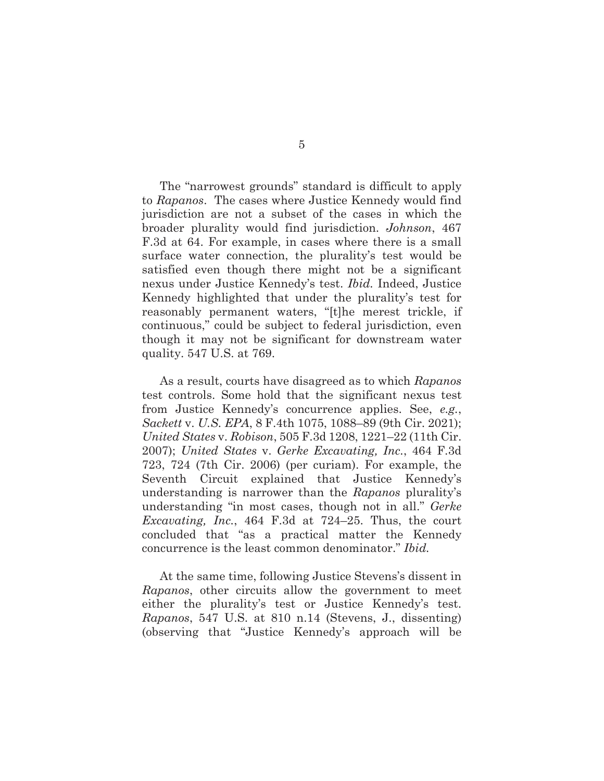The "narrowest grounds" standard is difficult to apply to *Rapanos*. The cases where Justice Kennedy would find jurisdiction are not a subset of the cases in which the broader plurality would find jurisdiction. *Johnson*, 467 F.3d at 64. For example, in cases where there is a small surface water connection, the plurality's test would be satisfied even though there might not be a significant nexus under Justice Kennedy's test. *Ibid.* Indeed, Justice Kennedy highlighted that under the plurality's test for reasonably permanent waters, "[t]he merest trickle, if continuous," could be subject to federal jurisdiction, even though it may not be significant for downstream water quality. 547 U.S. at 769.

As a result, courts have disagreed as to which *Rapanos* test controls. Some hold that the significant nexus test from Justice Kennedy's concurrence applies. See, *e.g.*, *Sackett* v. *U.S. EPA*, 8 F.4th 1075, 1088–89 (9th Cir. 2021); *United States* v. *Robison*, 505 F.3d 1208, 1221–22 (11th Cir. 2007); *United States* v. *Gerke Excavating, Inc.*, 464 F.3d 723, 724 (7th Cir. 2006) (per curiam). For example, the Seventh Circuit explained that Justice Kennedy's understanding is narrower than the *Rapanos* plurality's understanding "in most cases, though not in all." *Gerke Excavating, Inc.*, 464 F.3d at 724–25. Thus, the court concluded that "as a practical matter the Kennedy concurrence is the least common denominator." *Ibid.*

At the same time, following Justice Stevens's dissent in *Rapanos*, other circuits allow the government to meet either the plurality's test or Justice Kennedy's test. *Rapanos*, 547 U.S. at 810 n.14 (Stevens, J., dissenting) (observing that "Justice Kennedy's approach will be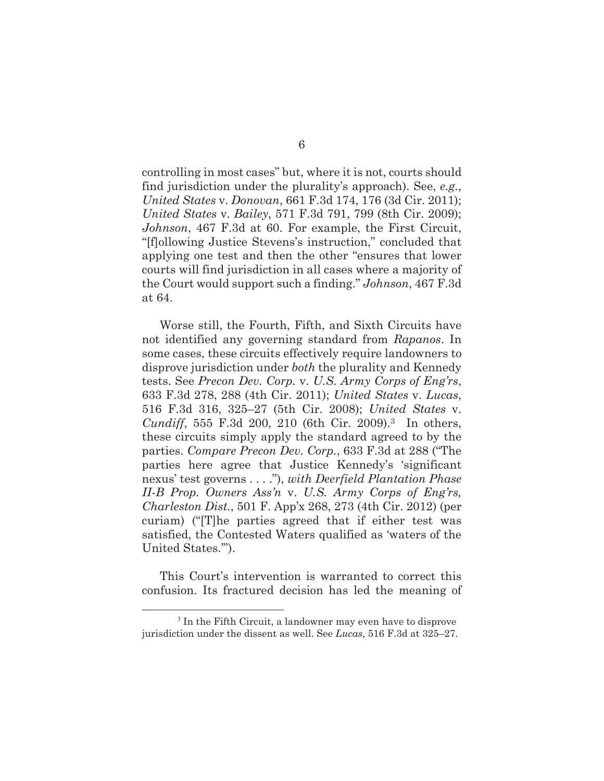controlling in most cases" but, where it is not, courts should find jurisdiction under the plurality's approach). See, *e.g.*, *United States* v. *Donovan*, 661 F.3d 174, 176 (3d Cir. 2011); *United States* v. *Bailey*, 571 F.3d 791, 799 (8th Cir. 2009); *Johnson*, 467 F.3d at 60. For example, the First Circuit, "[f]ollowing Justice Stevens's instruction," concluded that applying one test and then the other "ensures that lower courts will find jurisdiction in all cases where a majority of the Court would support such a finding." *Johnson*, 467 F.3d at 64.

Worse still, the Fourth, Fifth, and Sixth Circuits have not identified any governing standard from *Rapanos*. In some cases, these circuits effectively require landowners to disprove jurisdiction under *both* the plurality and Kennedy tests. See *Precon Dev. Corp.* v. *U.S. Army Corps of Eng'rs*, 633 F.3d 278, 288 (4th Cir. 2011); *United States* v. *Lucas*, 516 F.3d 316, 325–27 (5th Cir. 2008); *United States* v. *Cundiff*, 555 F.3d 200, 210 (6th Cir. 2009).3 In others, these circuits simply apply the standard agreed to by the parties. *Compare Precon Dev. Corp.*, 633 F.3d at 288 ("The parties here agree that Justice Kennedy's 'significant nexus' test governs . . . ."), *with Deerfield Plantation Phase II-B Prop. Owners Ass'n* v. *U.S. Army Corps of Eng'rs, Charleston Dist.*, 501 F. App'x 268, 273 (4th Cir. 2012) (per curiam) ("[T]he parties agreed that if either test was satisfied, the Contested Waters qualified as 'waters of the United States.'").

This Court's intervention is warranted to correct this confusion. Its fractured decision has led the meaning of

<sup>&</sup>lt;sup>3</sup> In the Fifth Circuit, a landowner may even have to disprove jurisdiction under the dissent as well. See *Lucas*, 516 F.3d at 325–27.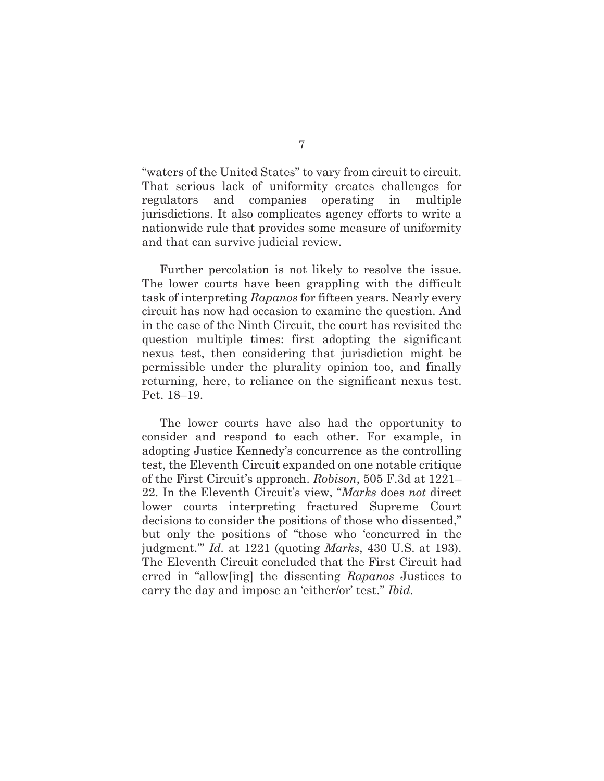"waters of the United States" to vary from circuit to circuit. That serious lack of uniformity creates challenges for regulators and companies operating in multiple jurisdictions. It also complicates agency efforts to write a nationwide rule that provides some measure of uniformity and that can survive judicial review.

Further percolation is not likely to resolve the issue. The lower courts have been grappling with the difficult task of interpreting *Rapanos* for fifteen years. Nearly every circuit has now had occasion to examine the question. And in the case of the Ninth Circuit, the court has revisited the question multiple times: first adopting the significant nexus test, then considering that jurisdiction might be permissible under the plurality opinion too, and finally returning, here, to reliance on the significant nexus test. Pet. 18–19.

The lower courts have also had the opportunity to consider and respond to each other. For example, in adopting Justice Kennedy's concurrence as the controlling test, the Eleventh Circuit expanded on one notable critique of the First Circuit's approach. *Robison*, 505 F.3d at 1221– 22. In the Eleventh Circuit's view, "*Marks* does *not* direct lower courts interpreting fractured Supreme Court decisions to consider the positions of those who dissented," but only the positions of "those who 'concurred in the judgment.'" *Id.* at 1221 (quoting *Marks*, 430 U.S. at 193). The Eleventh Circuit concluded that the First Circuit had erred in "allow[ing] the dissenting *Rapanos* Justices to carry the day and impose an 'either/or' test." *Ibid.*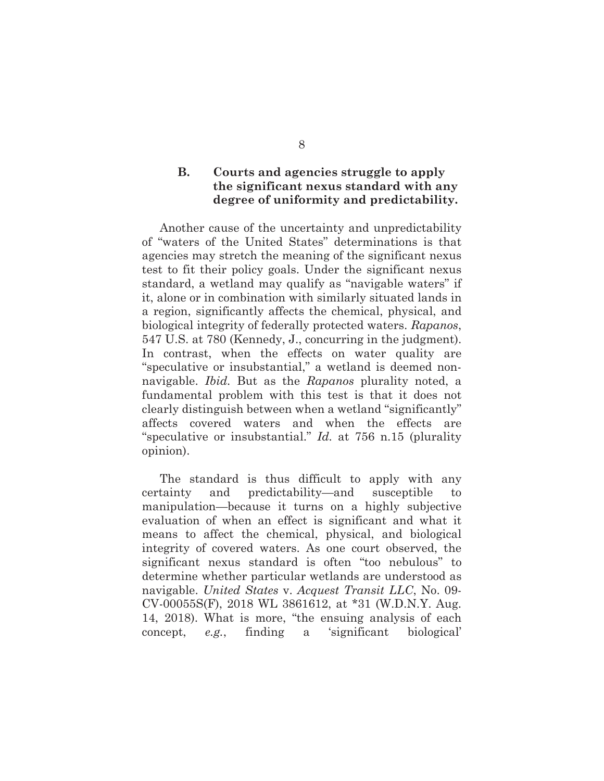### **B. Courts and agencies struggle to apply the significant nexus standard with any degree of uniformity and predictability.**

Another cause of the uncertainty and unpredictability of "waters of the United States" determinations is that agencies may stretch the meaning of the significant nexus test to fit their policy goals. Under the significant nexus standard, a wetland may qualify as "navigable waters" if it, alone or in combination with similarly situated lands in a region, significantly affects the chemical, physical, and biological integrity of federally protected waters. *Rapanos*, 547 U.S. at 780 (Kennedy, J., concurring in the judgment). In contrast, when the effects on water quality are "speculative or insubstantial," a wetland is deemed nonnavigable. *Ibid.* But as the *Rapanos* plurality noted, a fundamental problem with this test is that it does not clearly distinguish between when a wetland "significantly" affects covered waters and when the effects are "speculative or insubstantial." *Id.* at 756 n.15 (plurality opinion).

The standard is thus difficult to apply with any certainty and predictability—and susceptible to manipulation—because it turns on a highly subjective evaluation of when an effect is significant and what it means to affect the chemical, physical, and biological integrity of covered waters. As one court observed, the significant nexus standard is often "too nebulous" to determine whether particular wetlands are understood as navigable. *United States* v. *Acquest Transit LLC*, No. 09- CV-00055S(F), 2018 WL 3861612, at \*31 (W.D.N.Y. Aug. 14, 2018). What is more, "the ensuing analysis of each concept, *e.g.*, finding a 'significant biological'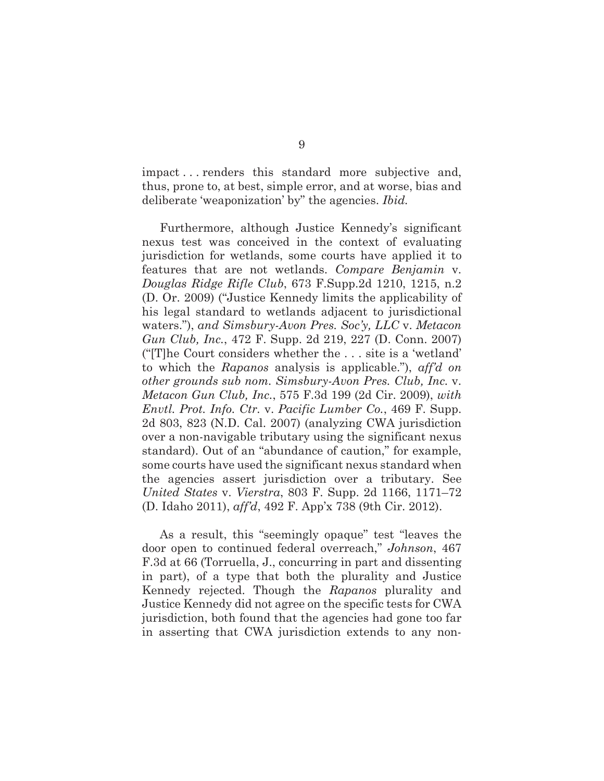impact . . . renders this standard more subjective and, thus, prone to, at best, simple error, and at worse, bias and deliberate 'weaponization' by" the agencies. *Ibid.*

Furthermore, although Justice Kennedy's significant nexus test was conceived in the context of evaluating jurisdiction for wetlands, some courts have applied it to features that are not wetlands. *Compare Benjamin* v. *Douglas Ridge Rifle Club*, 673 F.Supp.2d 1210, 1215, n.2 (D. Or. 2009) ("Justice Kennedy limits the applicability of his legal standard to wetlands adjacent to jurisdictional waters."), *and Simsbury-Avon Pres. Soc'y, LLC* v. *Metacon Gun Club, Inc.*, 472 F. Supp. 2d 219, 227 (D. Conn. 2007) ("[T]he Court considers whether the . . . site is a 'wetland' to which the *Rapanos* analysis is applicable."), *aff'd on other grounds sub nom. Simsbury-Avon Pres. Club, Inc.* v. *Metacon Gun Club, Inc.*, 575 F.3d 199 (2d Cir. 2009), *with Envtl. Prot. Info. Ctr.* v. *Pacific Lumber Co.*, 469 F. Supp. 2d 803, 823 (N.D. Cal. 2007) (analyzing CWA jurisdiction over a non-navigable tributary using the significant nexus standard). Out of an "abundance of caution," for example, some courts have used the significant nexus standard when the agencies assert jurisdiction over a tributary. See *United States* v. *Vierstra*, 803 F. Supp. 2d 1166, 1171–72 (D. Idaho 2011), *aff'd*, 492 F. App'x 738 (9th Cir. 2012).

As a result, this "seemingly opaque" test "leaves the door open to continued federal overreach," *Johnson*, 467 F.3d at 66 (Torruella, J., concurring in part and dissenting in part), of a type that both the plurality and Justice Kennedy rejected. Though the *Rapanos* plurality and Justice Kennedy did not agree on the specific tests for CWA jurisdiction, both found that the agencies had gone too far in asserting that CWA jurisdiction extends to any non-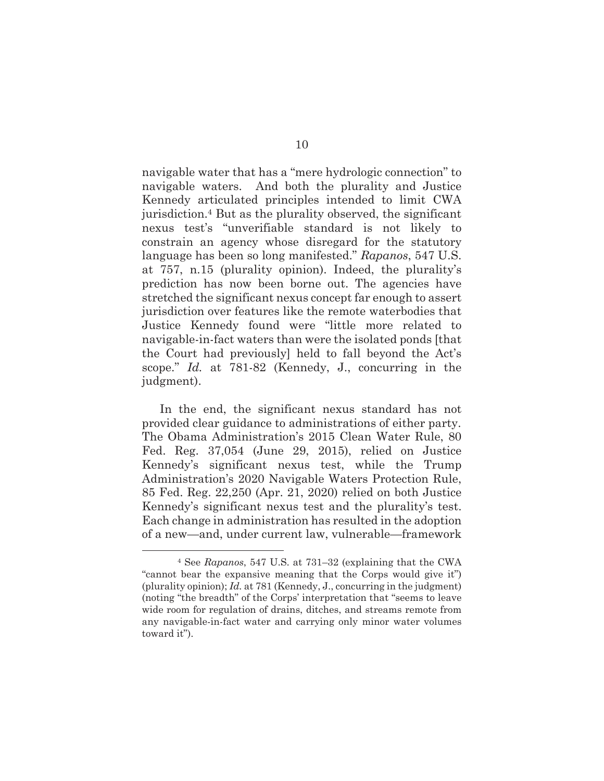navigable water that has a "mere hydrologic connection" to navigable waters. And both the plurality and Justice Kennedy articulated principles intended to limit CWA jurisdiction.4 But as the plurality observed, the significant nexus test's "unverifiable standard is not likely to constrain an agency whose disregard for the statutory language has been so long manifested." *Rapanos*, 547 U.S. at 757, n.15 (plurality opinion). Indeed, the plurality's prediction has now been borne out. The agencies have stretched the significant nexus concept far enough to assert jurisdiction over features like the remote waterbodies that Justice Kennedy found were "little more related to navigable-in-fact waters than were the isolated ponds [that the Court had previously] held to fall beyond the Act's scope." *Id.* at 781-82 (Kennedy, J., concurring in the judgment).

In the end, the significant nexus standard has not provided clear guidance to administrations of either party. The Obama Administration's 2015 Clean Water Rule, 80 Fed. Reg. 37,054 (June 29, 2015), relied on Justice Kennedy's significant nexus test, while the Trump Administration's 2020 Navigable Waters Protection Rule, 85 Fed. Reg. 22,250 (Apr. 21, 2020) relied on both Justice Kennedy's significant nexus test and the plurality's test. Each change in administration has resulted in the adoption of a new—and, under current law, vulnerable—framework

 $\overline{a}$ 

<sup>4</sup> See *Rapanos*, 547 U.S. at 731–32 (explaining that the CWA "cannot bear the expansive meaning that the Corps would give it") (plurality opinion); *Id.* at 781 (Kennedy, J., concurring in the judgment) (noting "the breadth" of the Corps' interpretation that "seems to leave wide room for regulation of drains, ditches, and streams remote from any navigable-in-fact water and carrying only minor water volumes toward it").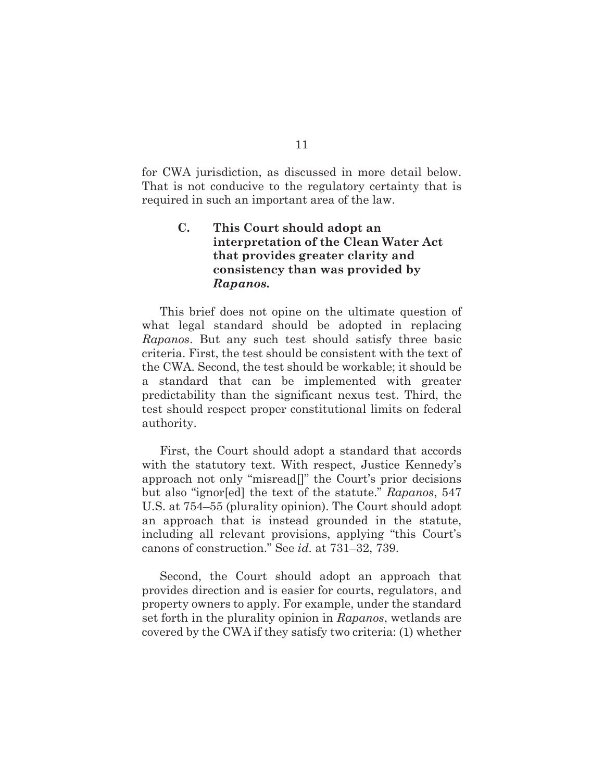for CWA jurisdiction, as discussed in more detail below. That is not conducive to the regulatory certainty that is required in such an important area of the law.

### **C. This Court should adopt an interpretation of the Clean Water Act that provides greater clarity and consistency than was provided by**  *Rapanos***.**

This brief does not opine on the ultimate question of what legal standard should be adopted in replacing *Rapanos*. But any such test should satisfy three basic criteria. First, the test should be consistent with the text of the CWA. Second, the test should be workable; it should be a standard that can be implemented with greater predictability than the significant nexus test. Third, the test should respect proper constitutional limits on federal authority.

First, the Court should adopt a standard that accords with the statutory text. With respect, Justice Kennedy's approach not only "misread[]" the Court's prior decisions but also "ignor[ed] the text of the statute." *Rapanos*, 547 U.S. at 754–55 (plurality opinion). The Court should adopt an approach that is instead grounded in the statute, including all relevant provisions, applying "this Court's canons of construction." See *id.* at 731–32, 739.

Second, the Court should adopt an approach that provides direction and is easier for courts, regulators, and property owners to apply. For example, under the standard set forth in the plurality opinion in *Rapanos*, wetlands are covered by the CWA if they satisfy two criteria: (1) whether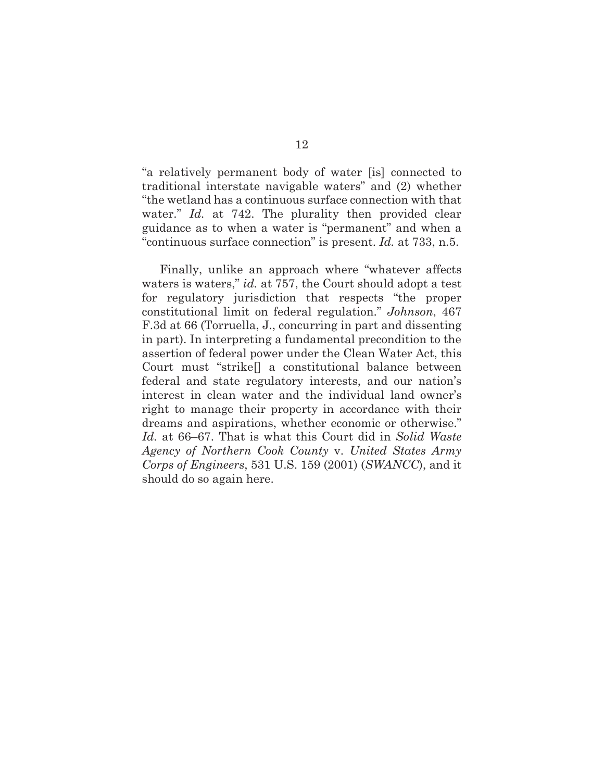"a relatively permanent body of water [is] connected to traditional interstate navigable waters" and (2) whether "the wetland has a continuous surface connection with that water." *Id.* at 742. The plurality then provided clear guidance as to when a water is "permanent" and when a "continuous surface connection" is present. *Id.* at 733, n.5.

Finally, unlike an approach where "whatever affects waters is waters," *id.* at 757, the Court should adopt a test for regulatory jurisdiction that respects "the proper constitutional limit on federal regulation." *Johnson*, 467 F.3d at 66 (Torruella, J., concurring in part and dissenting in part). In interpreting a fundamental precondition to the assertion of federal power under the Clean Water Act, this Court must "strike[] a constitutional balance between federal and state regulatory interests, and our nation's interest in clean water and the individual land owner's right to manage their property in accordance with their dreams and aspirations, whether economic or otherwise." *Id.* at 66–67. That is what this Court did in *Solid Waste Agency of Northern Cook County* v. *United States Army Corps of Engineers*, 531 U.S. 159 (2001) (*SWANCC*), and it should do so again here.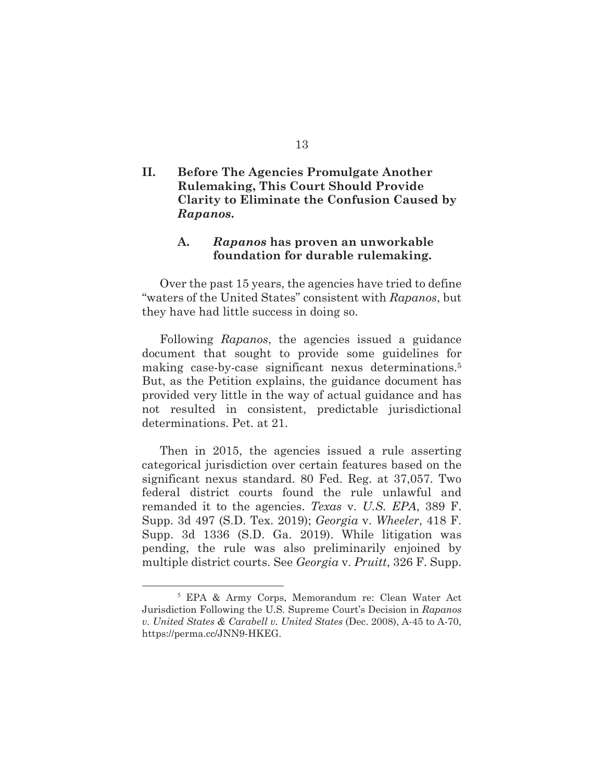### **II. Before The Agencies Promulgate Another Rulemaking, This Court Should Provide Clarity to Eliminate the Confusion Caused by**  *Rapanos***.**

#### **A.** *Rapanos* **has proven an unworkable foundation for durable rulemaking.**

 Over the past 15 years, the agencies have tried to define "waters of the United States" consistent with *Rapanos*, but they have had little success in doing so.

 Following *Rapanos*, the agencies issued a guidance document that sought to provide some guidelines for making case-by-case significant nexus determinations.5 But, as the Petition explains, the guidance document has provided very little in the way of actual guidance and has not resulted in consistent, predictable jurisdictional determinations. Pet. at 21.

 Then in 2015, the agencies issued a rule asserting categorical jurisdiction over certain features based on the significant nexus standard. 80 Fed. Reg. at 37,057. Two federal district courts found the rule unlawful and remanded it to the agencies. *Texas* v. *U.S. EPA*, 389 F. Supp. 3d 497 (S.D. Tex. 2019); *Georgia* v. *Wheeler*, 418 F. Supp. 3d 1336 (S.D. Ga. 2019). While litigation was pending, the rule was also preliminarily enjoined by multiple district courts. See *Georgia* v. *Pruitt*, 326 F. Supp.

 <sup>5</sup> EPA & Army Corps, Memorandum re: Clean Water Act Jurisdiction Following the U.S. Supreme Court's Decision in *Rapanos v. United States & Carabell v. United States* (Dec. 2008), A-45 to A-70, https://perma.cc/JNN9-HKEG.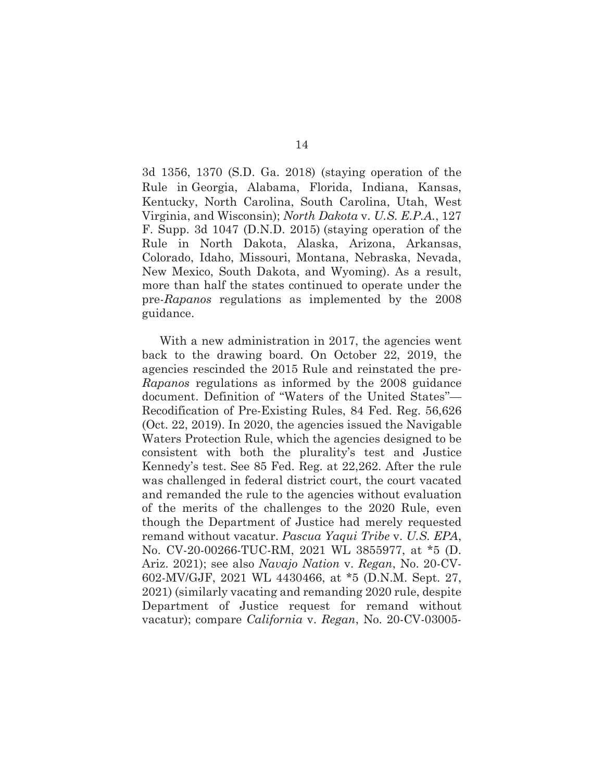3d 1356, 1370 (S.D. Ga. 2018) (staying operation of the Rule in Georgia, Alabama, Florida, Indiana, Kansas, Kentucky, North Carolina, South Carolina, Utah, West Virginia, and Wisconsin); *North Dakota* v. *U.S. E.P.A.*, 127 F. Supp. 3d 1047 (D.N.D. 2015) (staying operation of the Rule in North Dakota, Alaska, Arizona, Arkansas, Colorado, Idaho, Missouri, Montana, Nebraska, Nevada, New Mexico, South Dakota, and Wyoming). As a result, more than half the states continued to operate under the pre-*Rapanos* regulations as implemented by the 2008 guidance.

With a new administration in 2017, the agencies went back to the drawing board. On October 22, 2019, the agencies rescinded the 2015 Rule and reinstated the pre-*Rapanos* regulations as informed by the 2008 guidance document. Definition of ''Waters of the United States''— Recodification of Pre-Existing Rules, 84 Fed. Reg. 56,626 (Oct. 22, 2019). In 2020, the agencies issued the Navigable Waters Protection Rule, which the agencies designed to be consistent with both the plurality's test and Justice Kennedy's test. See 85 Fed. Reg. at 22,262. After the rule was challenged in federal district court, the court vacated and remanded the rule to the agencies without evaluation of the merits of the challenges to the 2020 Rule, even though the Department of Justice had merely requested remand without vacatur. *Pascua Yaqui Tribe* v. *U.S. EPA*, No. CV-20-00266-TUC-RM, 2021 WL 3855977, at \*5 (D. Ariz. 2021); see also *Navajo Nation* v. *Regan*, No. 20-CV-602-MV/GJF, 2021 WL 4430466, at \*5 (D.N.M. Sept. 27, 2021) (similarly vacating and remanding 2020 rule, despite Department of Justice request for remand without vacatur); compare *California* v. *Regan*, No. 20-CV-03005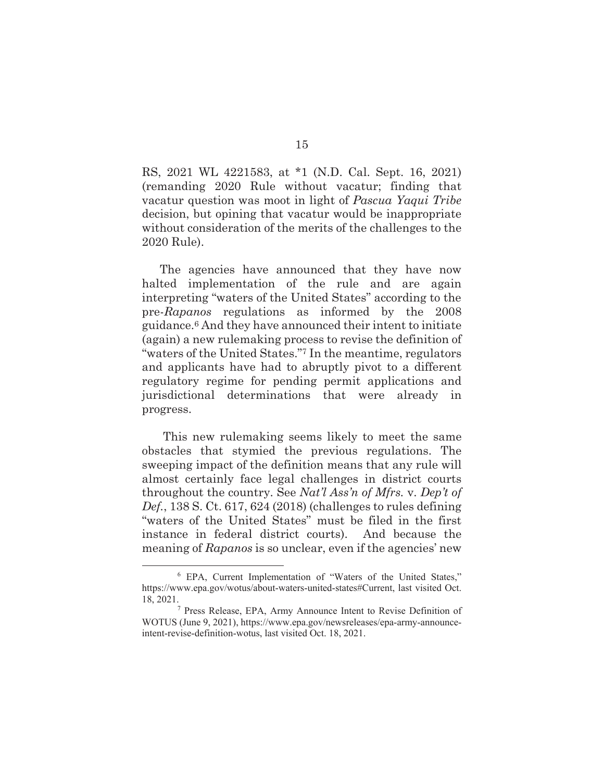RS, 2021 WL 4221583, at \*1 (N.D. Cal. Sept. 16, 2021) (remanding 2020 Rule without vacatur; finding that vacatur question was moot in light of *Pascua Yaqui Tribe*  decision, but opining that vacatur would be inappropriate without consideration of the merits of the challenges to the 2020 Rule).

 The agencies have announced that they have now halted implementation of the rule and are again interpreting "waters of the United States" according to the pre-*Rapanos* regulations as informed by the 2008 guidance.6 And they have announced their intent to initiate (again) a new rulemaking process to revise the definition of "waters of the United States."7 In the meantime, regulators and applicants have had to abruptly pivot to a different regulatory regime for pending permit applications and jurisdictional determinations that were already in progress.

 This new rulemaking seems likely to meet the same obstacles that stymied the previous regulations. The sweeping impact of the definition means that any rule will almost certainly face legal challenges in district courts throughout the country. See *Nat'l Ass'n of Mfrs.* v. *Dep't of Def.*, 138 S. Ct. 617, 624 (2018) (challenges to rules defining "waters of the United States" must be filed in the first instance in federal district courts). And because the meaning of *Rapanos* is so unclear, even if the agencies' new

 <sup>6</sup> EPA, Current Implementation of "Waters of the United States," https://www.epa.gov/wotus/about-waters-united-states#Current, last visited Oct. 18, 2021. 7

<sup>&</sup>lt;sup>7</sup> Press Release, EPA, Army Announce Intent to Revise Definition of WOTUS (June 9, 2021), https://www.epa.gov/newsreleases/epa-army-announceintent-revise-definition-wotus, last visited Oct. 18, 2021.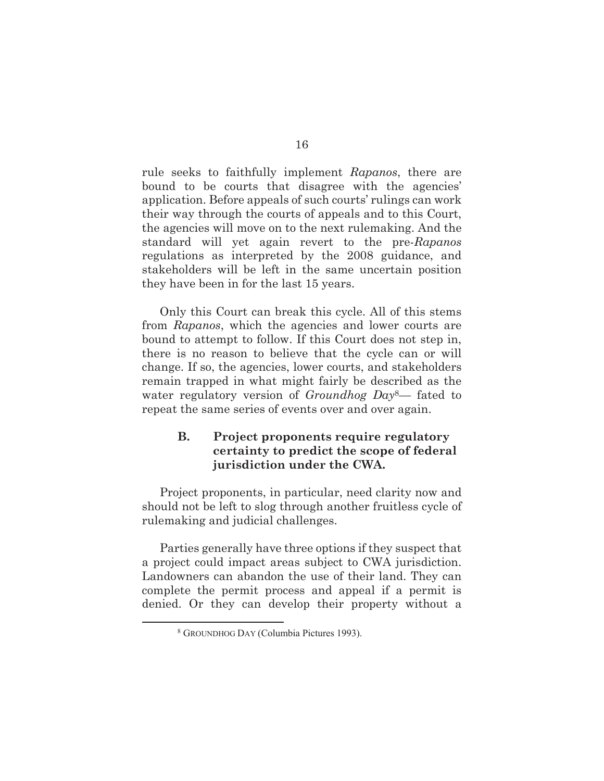rule seeks to faithfully implement *Rapanos*, there are bound to be courts that disagree with the agencies' application. Before appeals of such courts' rulings can work their way through the courts of appeals and to this Court, the agencies will move on to the next rulemaking. And the standard will yet again revert to the pre-*Rapanos* regulations as interpreted by the 2008 guidance, and stakeholders will be left in the same uncertain position they have been in for the last 15 years.

 Only this Court can break this cycle. All of this stems from *Rapanos*, which the agencies and lower courts are bound to attempt to follow. If this Court does not step in, there is no reason to believe that the cycle can or will change. If so, the agencies, lower courts, and stakeholders remain trapped in what might fairly be described as the water regulatory version of *Groundhog Day*8— fated to repeat the same series of events over and over again.

### **B. Project proponents require regulatory certainty to predict the scope of federal jurisdiction under the CWA.**

Project proponents, in particular, need clarity now and should not be left to slog through another fruitless cycle of rulemaking and judicial challenges.

Parties generally have three options if they suspect that a project could impact areas subject to CWA jurisdiction. Landowners can abandon the use of their land. They can complete the permit process and appeal if a permit is denied. Or they can develop their property without a

 $\frac{1}{8}$ GROUNDHOG DAY (Columbia Pictures 1993).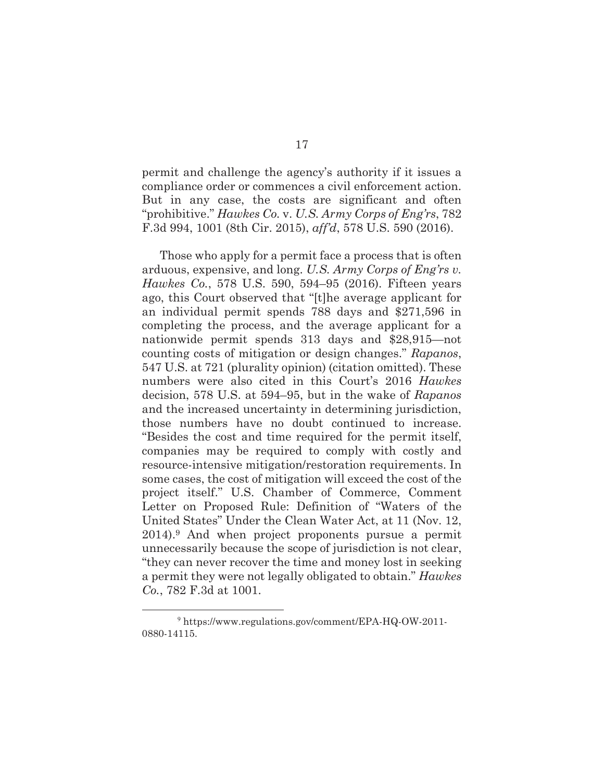permit and challenge the agency's authority if it issues a compliance order or commences a civil enforcement action. But in any case, the costs are significant and often "prohibitive." *Hawkes Co.* v. *U.S. Army Corps of Eng'rs*, 782 F.3d 994, 1001 (8th Cir. 2015), *aff'd*, 578 U.S. 590 (2016).

Those who apply for a permit face a process that is often arduous, expensive, and long. *U.S. Army Corps of Eng'rs v. Hawkes Co.*, 578 U.S. 590, 594–95 (2016). Fifteen years ago, this Court observed that "[t]he average applicant for an individual permit spends 788 days and \$271,596 in completing the process, and the average applicant for a nationwide permit spends 313 days and \$28,915—not counting costs of mitigation or design changes." *Rapanos*, 547 U.S. at 721 (plurality opinion) (citation omitted). These numbers were also cited in this Court's 2016 *Hawkes*  decision, 578 U.S. at 594–95, but in the wake of *Rapanos* and the increased uncertainty in determining jurisdiction, those numbers have no doubt continued to increase. "Besides the cost and time required for the permit itself, companies may be required to comply with costly and resource-intensive mitigation/restoration requirements. In some cases, the cost of mitigation will exceed the cost of the project itself." U.S. Chamber of Commerce, Comment Letter on Proposed Rule: Definition of "Waters of the United States" Under the Clean Water Act, at 11 (Nov. 12, 2014).9 And when project proponents pursue a permit unnecessarily because the scope of jurisdiction is not clear, "they can never recover the time and money lost in seeking a permit they were not legally obligated to obtain." *Hawkes Co.*, 782 F.3d at 1001.

 <sup>9</sup> https://www.regulations.gov/comment/EPA-HQ-OW-2011- 0880-14115.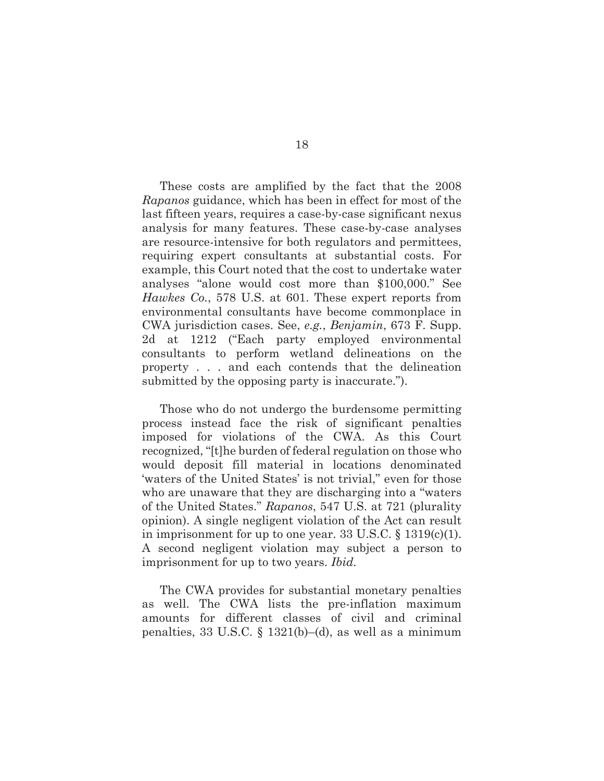These costs are amplified by the fact that the 2008 *Rapanos* guidance, which has been in effect for most of the last fifteen years, requires a case-by-case significant nexus analysis for many features. These case-by-case analyses are resource-intensive for both regulators and permittees, requiring expert consultants at substantial costs. For example, this Court noted that the cost to undertake water analyses "alone would cost more than \$100,000." See *Hawkes Co.*, 578 U.S. at 601. These expert reports from environmental consultants have become commonplace in CWA jurisdiction cases. See, *e.g.*, *Benjamin*, 673 F. Supp. 2d at 1212 ("Each party employed environmental consultants to perform wetland delineations on the property . . . and each contends that the delineation submitted by the opposing party is inaccurate.").

Those who do not undergo the burdensome permitting process instead face the risk of significant penalties imposed for violations of the CWA. As this Court recognized, "[t]he burden of federal regulation on those who would deposit fill material in locations denominated 'waters of the United States' is not trivial," even for those who are unaware that they are discharging into a "waters of the United States." *Rapanos*, 547 U.S. at 721 (plurality opinion). A single negligent violation of the Act can result in imprisonment for up to one year. 33 U.S.C. § 1319(c)(1). A second negligent violation may subject a person to imprisonment for up to two years. *Ibid.* 

The CWA provides for substantial monetary penalties as well. The CWA lists the pre-inflation maximum amounts for different classes of civil and criminal penalties, 33 U.S.C. § 1321(b)–(d), as well as a minimum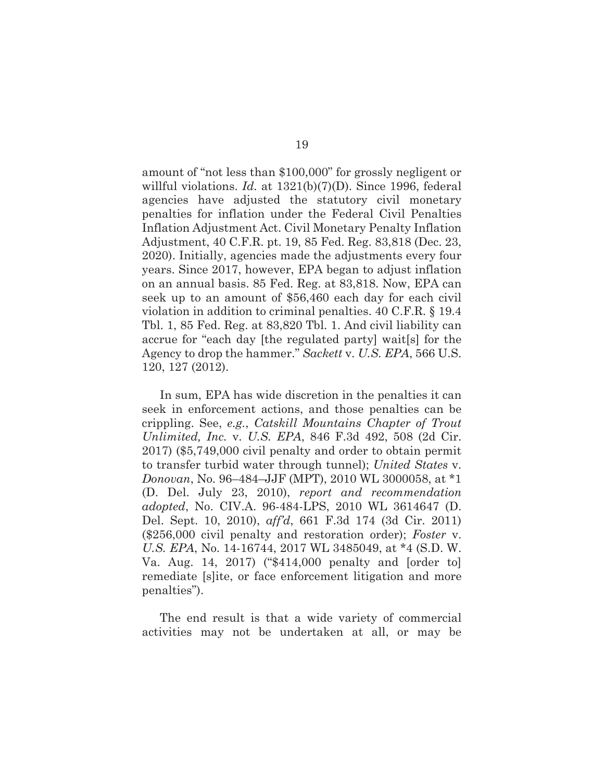amount of ''not less than \$100,000" for grossly negligent or willful violations. *Id.* at 1321(b)(7)(D). Since 1996, federal agencies have adjusted the statutory civil monetary penalties for inflation under the Federal Civil Penalties Inflation Adjustment Act. Civil Monetary Penalty Inflation Adjustment, 40 C.F.R. pt. 19, 85 Fed. Reg. 83,818 (Dec. 23, 2020). Initially, agencies made the adjustments every four years. Since 2017, however, EPA began to adjust inflation on an annual basis. 85 Fed. Reg. at 83,818. Now, EPA can seek up to an amount of \$56,460 each day for each civil violation in addition to criminal penalties. 40 C.F.R. § 19.4 Tbl. 1, 85 Fed. Reg. at 83,820 Tbl. 1. And civil liability can accrue for "each day [the regulated party] wait[s] for the Agency to drop the hammer." *Sackett* v. *U.S. EPA*, 566 U.S. 120, 127 (2012).

In sum, EPA has wide discretion in the penalties it can seek in enforcement actions, and those penalties can be crippling. See, *e.g.*, *Catskill Mountains Chapter of Trout Unlimited, Inc.* v. *U.S. EPA*, 846 F.3d 492, 508 (2d Cir. 2017) (\$5,749,000 civil penalty and order to obtain permit to transfer turbid water through tunnel); *United States* v. *Donovan*, No. 96–484–JJF (MPT), 2010 WL 3000058, at \*1 (D. Del. July 23, 2010), *report and recommendation adopted*, No. CIV.A. 96-484-LPS, 2010 WL 3614647 (D. Del. Sept. 10, 2010), *aff'd*, 661 F.3d 174 (3d Cir. 2011) (\$256,000 civil penalty and restoration order); *Foster* v. *U.S. EPA*, No. 14-16744, 2017 WL 3485049, at \*4 (S.D. W. Va. Aug. 14, 2017) ("\$414,000 penalty and [order to] remediate [s]ite, or face enforcement litigation and more penalties").

The end result is that a wide variety of commercial activities may not be undertaken at all, or may be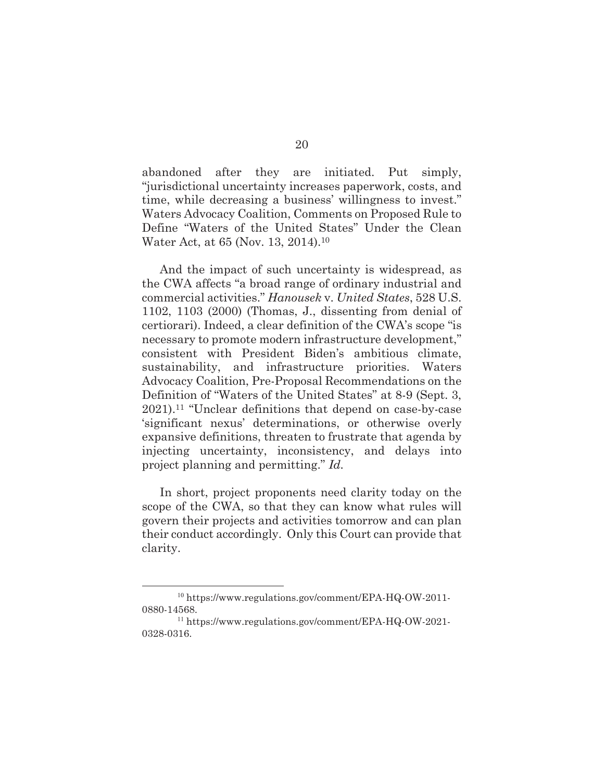abandoned after they are initiated. Put simply, "jurisdictional uncertainty increases paperwork, costs, and time, while decreasing a business' willingness to invest." Waters Advocacy Coalition, Comments on Proposed Rule to Define "Waters of the United States" Under the Clean Water Act, at 65 (Nov. 13, 2014).10

And the impact of such uncertainty is widespread, as the CWA affects "a broad range of ordinary industrial and commercial activities." *Hanousek* v. *United States*, 528 U.S. 1102, 1103 (2000) (Thomas, J., dissenting from denial of certiorari). Indeed, a clear definition of the CWA's scope "is necessary to promote modern infrastructure development," consistent with President Biden's ambitious climate, sustainability, and infrastructure priorities. Waters Advocacy Coalition, Pre-Proposal Recommendations on the Definition of "Waters of the United States" at 8-9 (Sept. 3, 2021).11 "Unclear definitions that depend on case-by-case 'significant nexus' determinations, or otherwise overly expansive definitions, threaten to frustrate that agenda by injecting uncertainty, inconsistency, and delays into project planning and permitting." *Id.*

 In short, project proponents need clarity today on the scope of the CWA, so that they can know what rules will govern their projects and activities tomorrow and can plan their conduct accordingly. Only this Court can provide that clarity.

 <sup>10</sup> https://www.regulations.gov/comment/EPA-HQ-OW-2011- 0880-14568.

<sup>11</sup> https://www.regulations.gov/comment/EPA-HQ-OW-2021- 0328-0316.